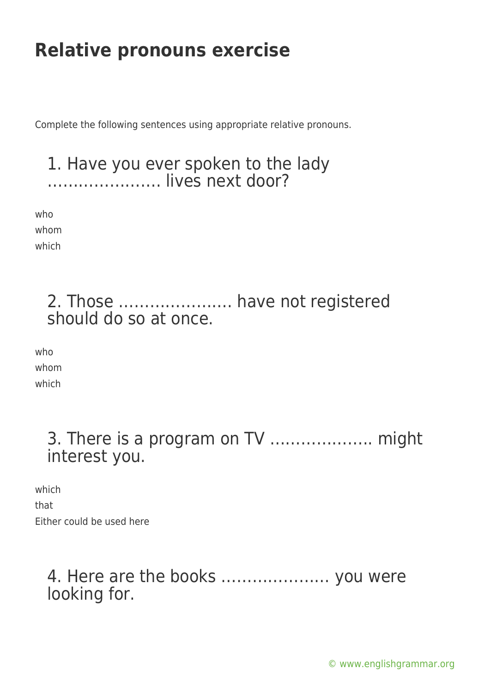Complete the following sentences using appropriate relative pronouns.

### 1. Have you ever spoken to the lady …………………. lives next door?

who whom which

## 2. Those …………………. have not registered should do so at once.

who whom which

> 3. There is a program on TV ……………….. might interest you.

which

that

Either could be used here

### 4. Here are the books ………………… you were looking for.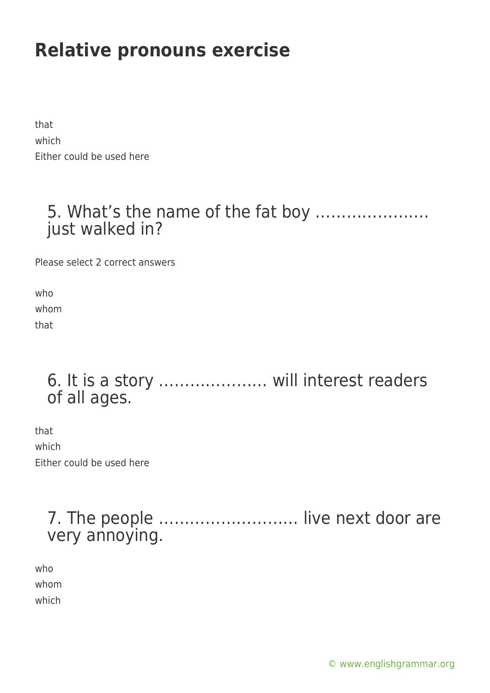that which Either could be used here

## 5. What's the name of the fat boy …………………. just walked in?

Please select 2 correct answers

who whom that

## 6. It is a story ………………… will interest readers of all ages.

that which Either could be used here

## 7. The people ……………………… live next door are very annoying.

who whom which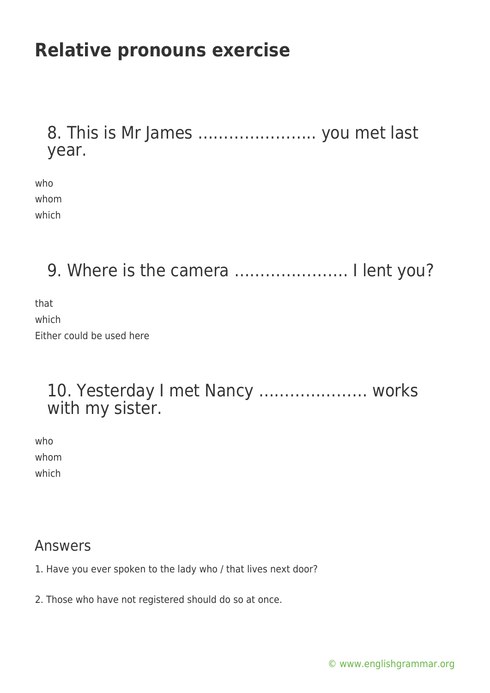### 8. This is Mr James ………………….. you met last year.

| who   |
|-------|
| whom  |
| which |

9. Where is the camera ....................... I lent you?

that which Either could be used here

#### 10. Yesterday I met Nancy ………………… works with my sister.

who whom which

#### Answers

- 1. Have you ever spoken to the lady who / that lives next door?
- 2. Those who have not registered should do so at once.